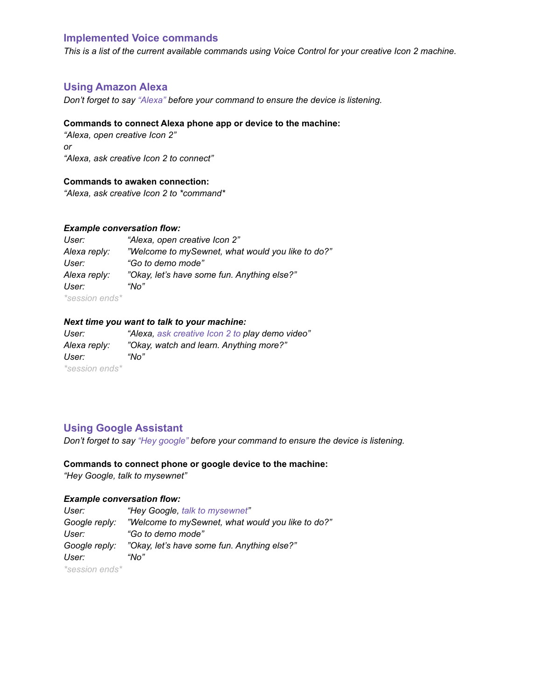# **Implemented Voice commands**

This is a list of the current available commands using Voice Control for your creative Icon 2 machine.

# **Using Amazon Alexa**

*Don't forget to say "Alexa" before your command to ensure the device is listening.*

#### **Commands to connect Alexa phone app or device to the machine:**

*"Alexa, open creative Icon 2" or "Alexa, ask creative Icon 2 to connect"*

## **Commands to awaken connection:**

*"Alexa, ask creative Icon 2 to \*command\**

### *Example conversation flow:*

| User:                 | "Alexa, open creative Icon 2"                     |
|-----------------------|---------------------------------------------------|
| Alexa reply:          | "Welcome to mySewnet, what would you like to do?" |
| User:                 | "Go to demo mode"                                 |
| Alexa reply:          | "Okay, let's have some fun. Anything else?"       |
| User:                 | "No"                                              |
| <i>*session ends*</i> |                                                   |

## *Next time you want to talk to your machine:*

*User: "Alexa, ask creative Icon 2 to play demo video" Alexa reply: "Okay, watch and learn. Anything more?" User: "No" \*session ends\**

# **Using Google Assistant**

*Don't forget to say "Hey google" before your command to ensure the device is listening.*

# **Commands to connect phone or google device to the machine:** *"Hey Google, talk to mysewnet"*

## *Example conversation flow:*

| User:                 | "Hey Google, talk to mysewnet"                    |
|-----------------------|---------------------------------------------------|
| Google reply:         | "Welcome to mySewnet, what would you like to do?" |
| User:                 | "Go to demo mode"                                 |
| Google reply:         | "Okay, let's have some fun. Anything else?"       |
| User:                 | "No"                                              |
| <i>*session ends*</i> |                                                   |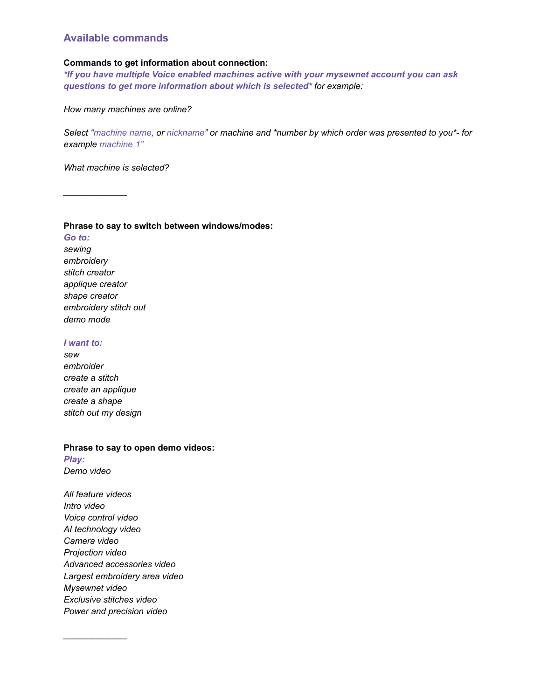# **Available commands**

## **Commands to get information about connection:**

*\*If you have multiple Voice enabled machines active with your mysewnet account you can ask questions to get more information about which is selected\* for example:*

*How many machines are online?*

*Select "machine name, or nickname" or machine and \*number by which order was presented to you\*- for example machine 1"*

*What machine is selected?*

*\_\_\_\_\_\_\_\_\_\_\_\_\_*

#### **Phrase to say to switch between windows/modes:**

*Go to: sewing embroidery stitch creator applique creator shape creator embroidery stitch out demo mode*

#### *I want to:*

*sew embroider create a stitch create an applique create a shape stitch out my design*

### **Phrase to say to open demo videos:**

*Play: Demo video*

*All feature videos Intro video Voice control video AI technology video Camera video Projection video Advanced accessories video Largest embroidery area video Mysewnet video Exclusive stitches video Power and precision video*

*\_\_\_\_\_\_\_\_\_\_\_\_\_*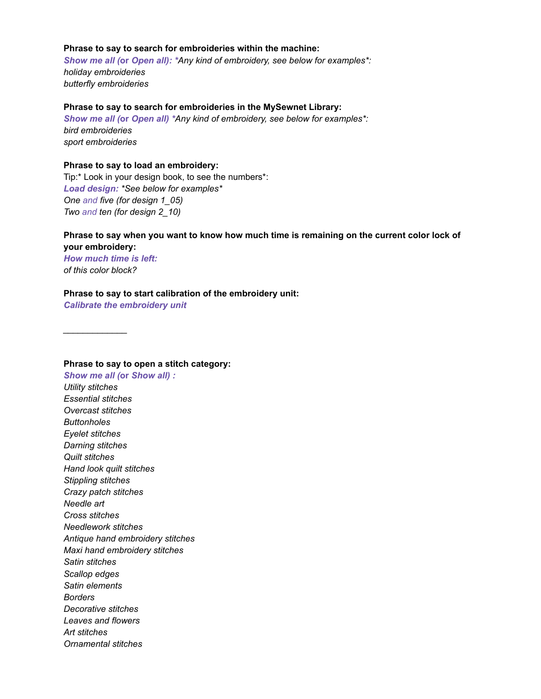## **Phrase to say to search for embroideries within the machine:**

*Show me all (***or** *Open all): \*Any kind of embroidery, see below for examples\*: holiday embroideries butterfly embroideries*

#### **Phrase to say to search for embroideries in the MySewnet Library:**

*Show me all (***or** *Open all) \*Any kind of embroidery, see below for examples\*: bird embroideries sport embroideries*

# **Phrase to say to load an embroidery:**

Tip:\* Look in your design book, to see the numbers\*: *Load design: \*See below for examples\* One and five (for design 1\_05) Two and ten (for design 2\_10)*

# **Phrase to say when you want to know how much time is remaining on the current color lock of**

**your embroidery:** *How much time is left: of this color block?*

*\_\_\_\_\_\_\_\_\_\_\_\_\_*

#### **Phrase to say to start calibration of the embroidery unit:**

*Calibrate the embroidery unit*

**Phrase to say to open a stitch category:** *Show me all (***or** *Show all) : Utility stitches Essential stitches Overcast stitches Buttonholes Eyelet stitches Darning stitches Quilt stitches Hand look quilt stitches Stippling stitches Crazy patch stitches Needle art Cross stitches Needlework stitches Antique hand embroidery stitches Maxi hand embroidery stitches Satin stitches Scallop edges Satin elements Borders Decorative stitches Leaves and flowers Art stitches Ornamental stitches*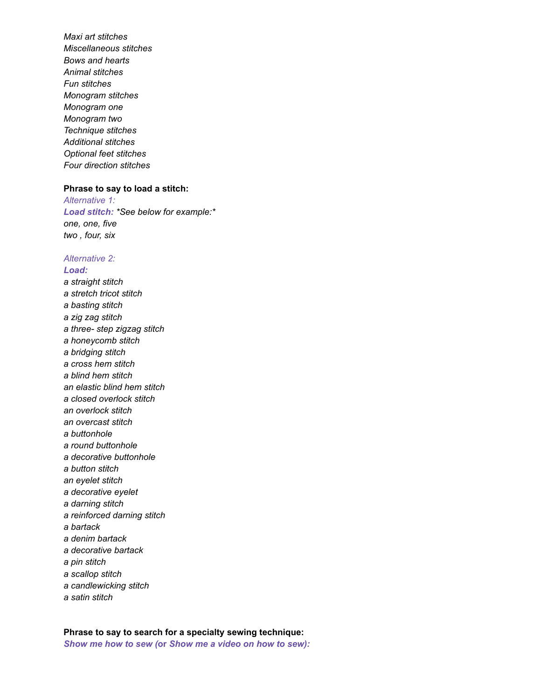*Maxi art stitches Miscellaneous stitches Bows and hearts Animal stitches Fun stitches Monogram stitches Monogram one Monogram two Technique stitches Additional stitches Optional feet stitches Four direction stitches*

#### **Phrase to say to load a stitch:**

*Alternative 1: Load stitch: \*See below for example:\* one, one, five two , four, six*

# *Alternative 2:*

### *Load:*

*a straight stitch a stretch tricot stitch a basting stitch a zig zag stitch a three- step zigzag stitch a honeycomb stitch a bridging stitch a cross hem stitch a blind hem stitch an elastic blind hem stitch a closed overlock stitch an overlock stitch an overcast stitch a buttonhole a round buttonhole a decorative buttonhole a button stitch an eyelet stitch a decorative eyelet a darning stitch a reinforced darning stitch a bartack a denim bartack a decorative bartack a pin stitch a scallop stitch a candlewicking stitch*

*a satin stitch*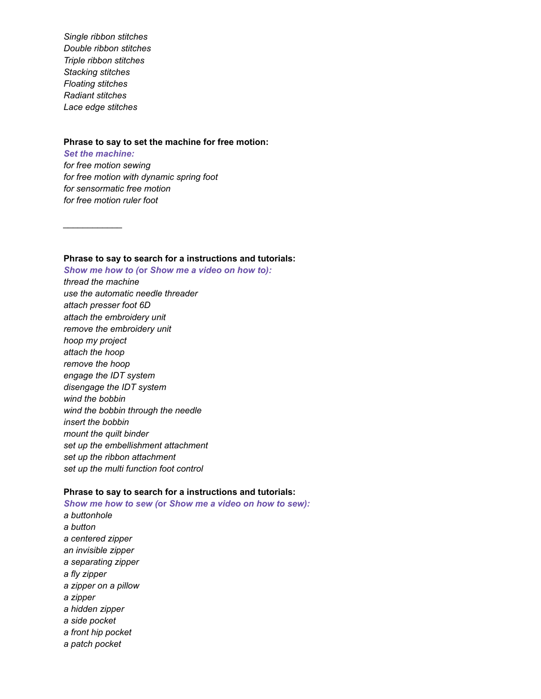*Single ribbon stitches Double ribbon stitches Triple ribbon stitches Stacking stitches Floating stitches Radiant stitches Lace edge stitches*

*\_\_\_\_\_\_\_\_\_\_\_\_*

### **Phrase to say to set the machine for free motion:**

*Set the machine: for free motion sewing for free motion with dynamic spring foot for sensormatic free motion for free motion ruler foot*

**Phrase to say to search for a instructions and tutorials:**

*Show me how to (***or** *Show me a video on how to): thread the machine use the automatic needle threader attach presser foot 6D attach the embroidery unit remove the embroidery unit hoop my project attach the hoop remove the hoop engage the IDT system disengage the IDT system wind the bobbin wind the bobbin through the needle insert the bobbin mount the quilt binder set up the embellishment attachment set up the ribbon attachment set up the multi function foot control*

# **Phrase to say to search for a instructions and tutorials:**

*Show me how to sew (***or** *Show me a video on how to sew): a buttonhole a button a centered zipper an invisible zipper a separating zipper a fly zipper a zipper on a pillow a zipper a hidden zipper a side pocket a front hip pocket a patch pocket*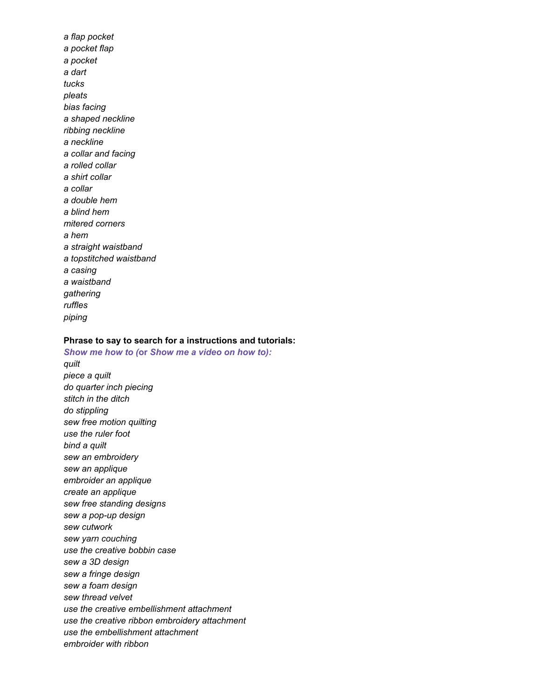*a flap pocket a pocket flap a pocket a dart tucks pleats bias facing a shaped neckline ribbing neckline a neckline a collar and facing a rolled collar a shirt collar a collar a double hem a blind hem mitered corners a hem a straight waistband a topstitched waistband a casing a waistband gathering ruffles piping*

## **Phrase to say to search for a instructions and tutorials:**

*Show me how to (***or** *Show me a video on how to): quilt piece a quilt do quarter inch piecing stitch in the ditch do stippling sew free motion quilting use the ruler foot bind a quilt sew an embroidery sew an applique embroider an applique create an applique sew free standing designs sew a pop-up design sew cutwork sew yarn couching use the creative bobbin case sew a 3D design sew a fringe design sew a foam design sew thread velvet use the creative embellishment attachment use the creative ribbon embroidery attachment use the embellishment attachment embroider with ribbon*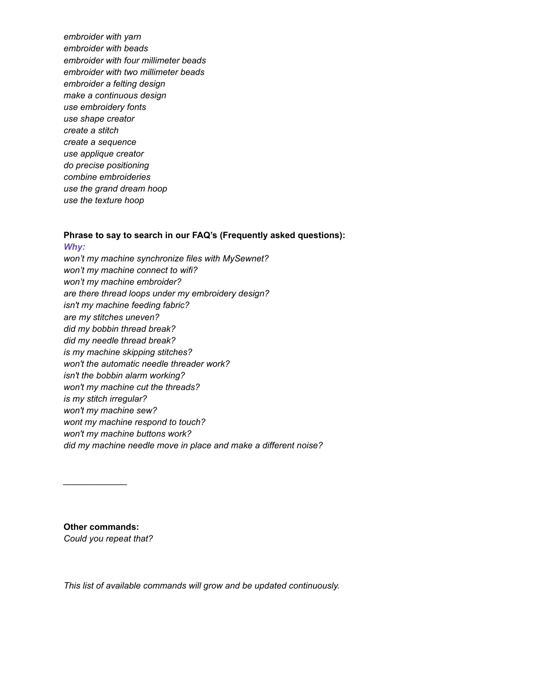*embroider with yarn embroider with beads embroider with four millimeter beads embroider with two millimeter beads embroider a felting design make a continuous design use embroidery fonts use shape creator create a stitch create a sequence use applique creator do precise positioning combine embroideries use the grand dream hoop use the texture hoop*

# **Phrase to say to search in our FAQ's (Frequently asked questions):**

*Why: won't my machine synchronize files with MySewnet? won't my machine connect to wifi? won't my machine embroider? are there thread loops under my embroidery design? isn't my machine feeding fabric? are my stitches uneven? did my bobbin thread break? did my needle thread break? is my machine skipping stitches? won't the automatic needle threader work? isn't the bobbin alarm working? won't my machine cut the threads? is my stitch irregular? won't my machine sew? wont my machine respond to touch? won't my machine buttons work? did my machine needle move in place and make a different noise?*

**Other commands:** *Could you repeat that?*

*\_\_\_\_\_\_\_\_\_\_\_\_\_*

*This list of available commands will grow and be updated continuously.*